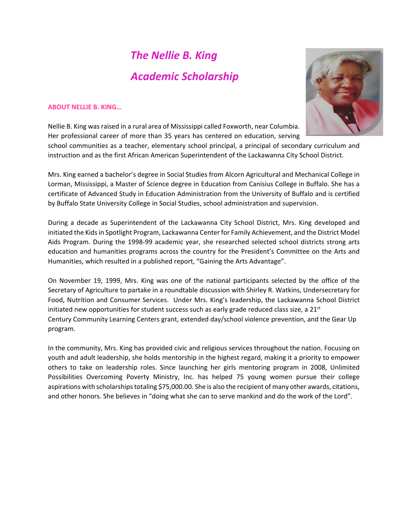## *The Nellie B. King Academic Scholarship*



#### **ABOUT NELLIE B. KING…**

Nellie B. King was raised in a rural area of Mississippi called Foxworth, near Columbia. Her professional career of more than 35 years has centered on education, serving school communities as a teacher, elementary school principal, a principal of secondary curriculum and instruction and as the first African American Superintendent of the Lackawanna City School District.

Mrs. King earned a bachelor's degree in Social Studies from Alcorn Agricultural and Mechanical College in Lorman, Mississippi, a Master of Science degree in Education from Canisius College in Buffalo. She has a certificate of Advanced Study in Education Administration from the University of Buffalo and is certified by Buffalo State University College in Social Studies, school administration and supervision.

During a decade as Superintendent of the Lackawanna City School District, Mrs. King developed and initiated the Kids in Spotlight Program, Lackawanna Center for Family Achievement, and the District Model Aids Program. During the 1998-99 academic year, she researched selected school districts strong arts education and humanities programs across the country for the President's Committee on the Arts and Humanities, which resulted in a published report, "Gaining the Arts Advantage".

On November 19, 1999, Mrs. King was one of the national participants selected by the office of the Secretary of Agriculture to partake in a roundtable discussion with Shirley R. Watkins, Undersecretary for Food, Nutrition and Consumer Services. Under Mrs. King's leadership, the Lackawanna School District initiated new opportunities for student success such as early grade reduced class size, a  $21<sup>st</sup>$ Century Community Learning Centers grant, extended day/school violence prevention, and the Gear Up program.

In the community, Mrs. King has provided civic and religious services throughout the nation. Focusing on youth and adult leadership, she holds mentorship in the highest regard, making it a priority to empower others to take on leadership roles. Since launching her girls mentoring program in 2008, Unlimited Possibilities Overcoming Poverty Ministry, Inc. has helped 75 young women pursue their college aspirations with scholarships totaling \$75,000.00. She is also the recipient of many other awards, citations, and other honors. She believes in "doing what she can to serve mankind and do the work of the Lord".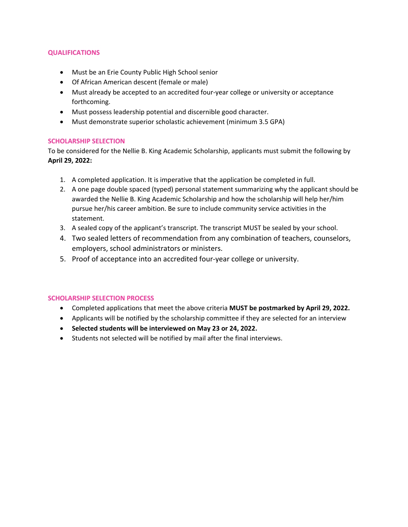#### **QUALIFICATIONS**

- Must be an Erie County Public High School senior
- Of African American descent (female or male)
- Must already be accepted to an accredited four-year college or university or acceptance forthcoming.
- Must possess leadership potential and discernible good character.
- Must demonstrate superior scholastic achievement (minimum 3.5 GPA)

#### **SCHOLARSHIP SELECTION**

To be considered for the Nellie B. King Academic Scholarship, applicants must submit the following by **April 29, 2022:** 

- 1. A completed application. It is imperative that the application be completed in full.
- 2. A one page double spaced (typed) personal statement summarizing why the applicant should be awarded the Nellie B. King Academic Scholarship and how the scholarship will help her/him pursue her/his career ambition. Be sure to include community service activities in the statement.
- 3. A sealed copy of the applicant's transcript. The transcript MUST be sealed by your school.
- 4. Two sealed letters of recommendation from any combination of teachers, counselors, employers, school administrators or ministers.
- 5. Proof of acceptance into an accredited four-year college or university.

#### **SCHOLARSHIP SELECTION PROCESS**

- Completed applications that meet the above criteria **MUST be postmarked by April 29, 2022.**
- Applicants will be notified by the scholarship committee if they are selected for an interview
- **Selected students will be interviewed on May 23 or 24, 2022.**
- Students not selected will be notified by mail after the final interviews.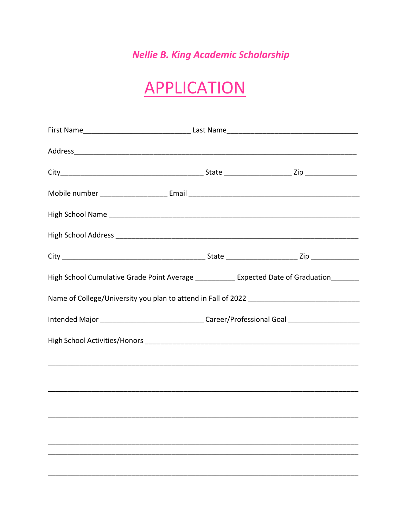### **Nellie B. King Academic Scholarship**

# **APPLICATION**

| High School Cumulative Grade Point Average ___________ Expected Date of Graduation_______ |                                                                                                     |  |  |  |
|-------------------------------------------------------------------------------------------|-----------------------------------------------------------------------------------------------------|--|--|--|
|                                                                                           |                                                                                                     |  |  |  |
|                                                                                           | Intended Major _________________________________Career/Professional Goal __________________________ |  |  |  |
|                                                                                           |                                                                                                     |  |  |  |
|                                                                                           |                                                                                                     |  |  |  |
|                                                                                           |                                                                                                     |  |  |  |
|                                                                                           |                                                                                                     |  |  |  |
|                                                                                           |                                                                                                     |  |  |  |
|                                                                                           |                                                                                                     |  |  |  |
|                                                                                           |                                                                                                     |  |  |  |